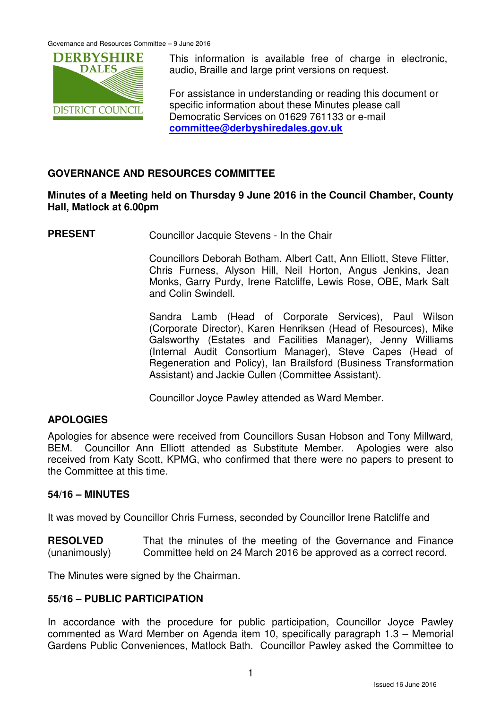

This information is available free of charge in electronic, audio, Braille and large print versions on request.

For assistance in understanding or reading this document or specific information about these Minutes please call Democratic Services on 01629 761133 or e-mail **committee@derbyshiredales.gov.uk**

# **GOVERNANCE AND RESOURCES COMMITTEE**

# **Minutes of a Meeting held on Thursday 9 June 2016 in the Council Chamber, County Hall, Matlock at 6.00pm**

**PRESENT** Councillor Jacquie Stevens - In the Chair

 Councillors Deborah Botham, Albert Catt, Ann Elliott, Steve Flitter, Chris Furness, Alyson Hill, Neil Horton, Angus Jenkins, Jean Monks, Garry Purdy, Irene Ratcliffe, Lewis Rose, OBE, Mark Salt and Colin Swindell.

 Sandra Lamb (Head of Corporate Services), Paul Wilson (Corporate Director), Karen Henriksen (Head of Resources), Mike Galsworthy (Estates and Facilities Manager), Jenny Williams (Internal Audit Consortium Manager), Steve Capes (Head of Regeneration and Policy), Ian Brailsford (Business Transformation Assistant) and Jackie Cullen (Committee Assistant).

Councillor Joyce Pawley attended as Ward Member.

# **APOLOGIES**

Apologies for absence were received from Councillors Susan Hobson and Tony Millward, BEM. Councillor Ann Elliott attended as Substitute Member. Apologies were also received from Katy Scott, KPMG, who confirmed that there were no papers to present to the Committee at this time.

## **54/16 – MINUTES**

It was moved by Councillor Chris Furness, seconded by Councillor Irene Ratcliffe and

**RESOLVED** (unanimously) That the minutes of the meeting of the Governance and Finance Committee held on 24 March 2016 be approved as a correct record.

The Minutes were signed by the Chairman.

## **55/16 – PUBLIC PARTICIPATION**

In accordance with the procedure for public participation, Councillor Joyce Pawley commented as Ward Member on Agenda item 10, specifically paragraph 1.3 – Memorial Gardens Public Conveniences, Matlock Bath. Councillor Pawley asked the Committee to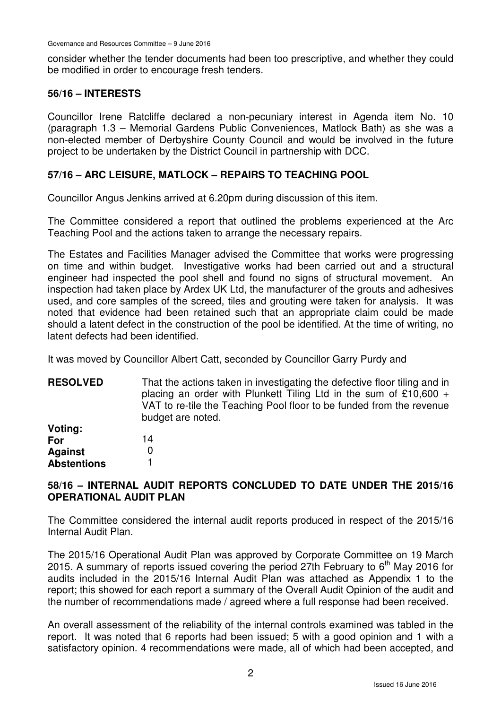consider whether the tender documents had been too prescriptive, and whether they could be modified in order to encourage fresh tenders.

## **56/16 – INTERESTS**

Councillor Irene Ratcliffe declared a non-pecuniary interest in Agenda item No. 10 (paragraph 1.3 – Memorial Gardens Public Conveniences, Matlock Bath) as she was a non-elected member of Derbyshire County Council and would be involved in the future project to be undertaken by the District Council in partnership with DCC.

## **57/16 – ARC LEISURE, MATLOCK – REPAIRS TO TEACHING POOL**

Councillor Angus Jenkins arrived at 6.20pm during discussion of this item.

The Committee considered a report that outlined the problems experienced at the Arc Teaching Pool and the actions taken to arrange the necessary repairs.

The Estates and Facilities Manager advised the Committee that works were progressing on time and within budget. Investigative works had been carried out and a structural engineer had inspected the pool shell and found no signs of structural movement. An inspection had taken place by Ardex UK Ltd, the manufacturer of the grouts and adhesives used, and core samples of the screed, tiles and grouting were taken for analysis. It was noted that evidence had been retained such that an appropriate claim could be made should a latent defect in the construction of the pool be identified. At the time of writing, no latent defects had been identified.

It was moved by Councillor Albert Catt, seconded by Councillor Garry Purdy and

**RESOLVED Voting:**  That the actions taken in investigating the defective floor tiling and in placing an order with Plunkett Tiling Ltd in the sum of £10,600 + VAT to re-tile the Teaching Pool floor to be funded from the revenue budget are noted.

| vuuu.              |    |
|--------------------|----|
| For                | 14 |
| <b>Against</b>     | O  |
| <b>Abstentions</b> |    |

# **58/16 – INTERNAL AUDIT REPORTS CONCLUDED TO DATE UNDER THE 2015/16 OPERATIONAL AUDIT PLAN**

The Committee considered the internal audit reports produced in respect of the 2015/16 Internal Audit Plan.

The 2015/16 Operational Audit Plan was approved by Corporate Committee on 19 March 2015. A summary of reports issued covering the period 27th February to  $6<sup>th</sup>$  May 2016 for audits included in the 2015/16 Internal Audit Plan was attached as Appendix 1 to the report; this showed for each report a summary of the Overall Audit Opinion of the audit and the number of recommendations made / agreed where a full response had been received.

An overall assessment of the reliability of the internal controls examined was tabled in the report. It was noted that 6 reports had been issued; 5 with a good opinion and 1 with a satisfactory opinion. 4 recommendations were made, all of which had been accepted, and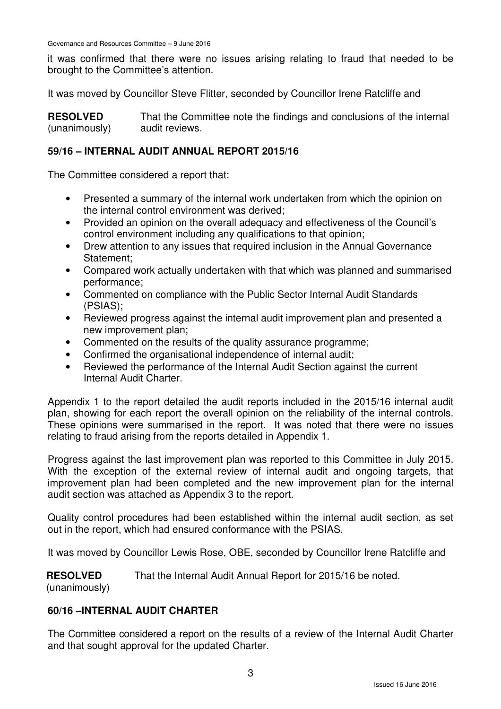Governance and Resources Committee – 9 June 2016

it was confirmed that there were no issues arising relating to fraud that needed to be brought to the Committee's attention.

It was moved by Councillor Steve Flitter, seconded by Councillor Irene Ratcliffe and

**RESOLVED** (unanimously) That the Committee note the findings and conclusions of the internal audit reviews.

## **59/16 – INTERNAL AUDIT ANNUAL REPORT 2015/16**

The Committee considered a report that:

- Presented a summary of the internal work undertaken from which the opinion on the internal control environment was derived;
- Provided an opinion on the overall adequacy and effectiveness of the Council's control environment including any qualifications to that opinion;
- Drew attention to any issues that required inclusion in the Annual Governance Statement;
- Compared work actually undertaken with that which was planned and summarised performance;
- Commented on compliance with the Public Sector Internal Audit Standards (PSIAS);
- Reviewed progress against the internal audit improvement plan and presented a new improvement plan;
- Commented on the results of the quality assurance programme;
- Confirmed the organisational independence of internal audit;
- Reviewed the performance of the Internal Audit Section against the current Internal Audit Charter.

Appendix 1 to the report detailed the audit reports included in the 2015/16 internal audit plan, showing for each report the overall opinion on the reliability of the internal controls. These opinions were summarised in the report. It was noted that there were no issues relating to fraud arising from the reports detailed in Appendix 1.

Progress against the last improvement plan was reported to this Committee in July 2015. With the exception of the external review of internal audit and ongoing targets, that improvement plan had been completed and the new improvement plan for the internal audit section was attached as Appendix 3 to the report.

Quality control procedures had been established within the internal audit section, as set out in the report, which had ensured conformance with the PSIAS.

It was moved by Councillor Lewis Rose, OBE, seconded by Councillor Irene Ratcliffe and

**RESOLVED** That the Internal Audit Annual Report for 2015/16 be noted.

(unanimously)

# **60/16 –INTERNAL AUDIT CHARTER**

The Committee considered a report on the results of a review of the Internal Audit Charter and that sought approval for the updated Charter.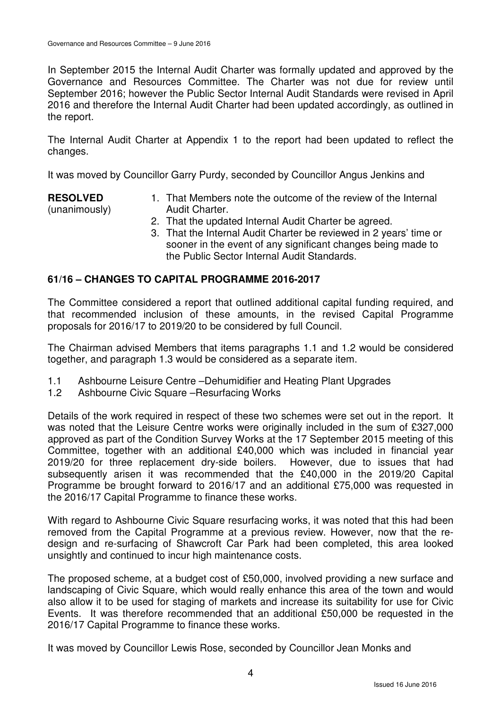In September 2015 the Internal Audit Charter was formally updated and approved by the Governance and Resources Committee. The Charter was not due for review until September 2016; however the Public Sector Internal Audit Standards were revised in April 2016 and therefore the Internal Audit Charter had been updated accordingly, as outlined in the report.

The Internal Audit Charter at Appendix 1 to the report had been updated to reflect the changes.

It was moved by Councillor Garry Purdy, seconded by Councillor Angus Jenkins and

#### **RESOLVED** (unanimously)

- 1. That Members note the outcome of the review of the Internal Audit Charter.
- 2. That the updated Internal Audit Charter be agreed.
- 3. That the Internal Audit Charter be reviewed in 2 years' time or sooner in the event of any significant changes being made to the Public Sector Internal Audit Standards.

# **61/16 – CHANGES TO CAPITAL PROGRAMME 2016-2017**

The Committee considered a report that outlined additional capital funding required, and that recommended inclusion of these amounts, in the revised Capital Programme proposals for 2016/17 to 2019/20 to be considered by full Council.

The Chairman advised Members that items paragraphs 1.1 and 1.2 would be considered together, and paragraph 1.3 would be considered as a separate item.

- 1.1 Ashbourne Leisure Centre –Dehumidifier and Heating Plant Upgrades
- 1.2 Ashbourne Civic Square –Resurfacing Works

Details of the work required in respect of these two schemes were set out in the report. It was noted that the Leisure Centre works were originally included in the sum of £327,000 approved as part of the Condition Survey Works at the 17 September 2015 meeting of this Committee, together with an additional £40,000 which was included in financial year 2019/20 for three replacement dry-side boilers. However, due to issues that had subsequently arisen it was recommended that the £40,000 in the 2019/20 Capital Programme be brought forward to 2016/17 and an additional £75,000 was requested in the 2016/17 Capital Programme to finance these works.

With regard to Ashbourne Civic Square resurfacing works, it was noted that this had been removed from the Capital Programme at a previous review. However, now that the redesign and re-surfacing of Shawcroft Car Park had been completed, this area looked unsightly and continued to incur high maintenance costs.

The proposed scheme, at a budget cost of £50,000, involved providing a new surface and landscaping of Civic Square, which would really enhance this area of the town and would also allow it to be used for staging of markets and increase its suitability for use for Civic Events. It was therefore recommended that an additional £50,000 be requested in the 2016/17 Capital Programme to finance these works.

It was moved by Councillor Lewis Rose, seconded by Councillor Jean Monks and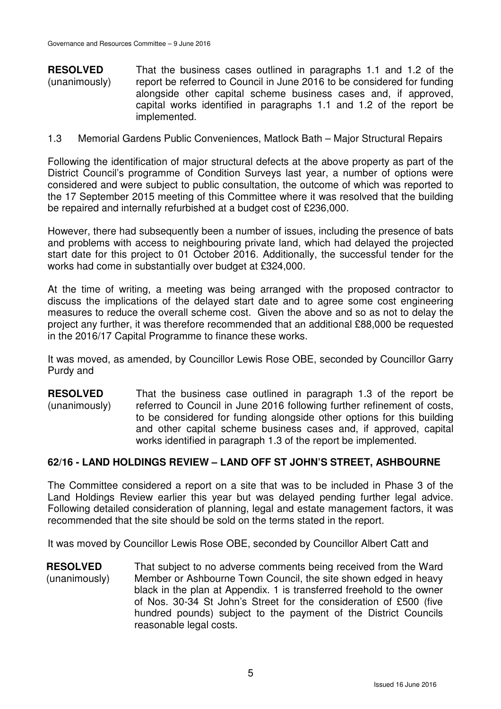**RESOLVED** (unanimously) That the business cases outlined in paragraphs 1.1 and 1.2 of the report be referred to Council in June 2016 to be considered for funding alongside other capital scheme business cases and, if approved, capital works identified in paragraphs 1.1 and 1.2 of the report be implemented.

#### 1.3 Memorial Gardens Public Conveniences, Matlock Bath – Major Structural Repairs

Following the identification of major structural defects at the above property as part of the District Council's programme of Condition Surveys last year, a number of options were considered and were subject to public consultation, the outcome of which was reported to the 17 September 2015 meeting of this Committee where it was resolved that the building be repaired and internally refurbished at a budget cost of £236,000.

However, there had subsequently been a number of issues, including the presence of bats and problems with access to neighbouring private land, which had delayed the projected start date for this project to 01 October 2016. Additionally, the successful tender for the works had come in substantially over budget at £324,000.

At the time of writing, a meeting was being arranged with the proposed contractor to discuss the implications of the delayed start date and to agree some cost engineering measures to reduce the overall scheme cost. Given the above and so as not to delay the project any further, it was therefore recommended that an additional £88,000 be requested in the 2016/17 Capital Programme to finance these works.

It was moved, as amended, by Councillor Lewis Rose OBE, seconded by Councillor Garry Purdy and

**RESOLVED** (unanimously) That the business case outlined in paragraph 1.3 of the report be referred to Council in June 2016 following further refinement of costs, to be considered for funding alongside other options for this building and other capital scheme business cases and, if approved, capital works identified in paragraph 1.3 of the report be implemented.

## **62/16 - LAND HOLDINGS REVIEW – LAND OFF ST JOHN'S STREET, ASHBOURNE**

The Committee considered a report on a site that was to be included in Phase 3 of the Land Holdings Review earlier this year but was delayed pending further legal advice. Following detailed consideration of planning, legal and estate management factors, it was recommended that the site should be sold on the terms stated in the report.

It was moved by Councillor Lewis Rose OBE, seconded by Councillor Albert Catt and

**RESOLVED** (unanimously) That subject to no adverse comments being received from the Ward Member or Ashbourne Town Council, the site shown edged in heavy black in the plan at Appendix. 1 is transferred freehold to the owner of Nos. 30-34 St John's Street for the consideration of £500 (five hundred pounds) subject to the payment of the District Councils reasonable legal costs.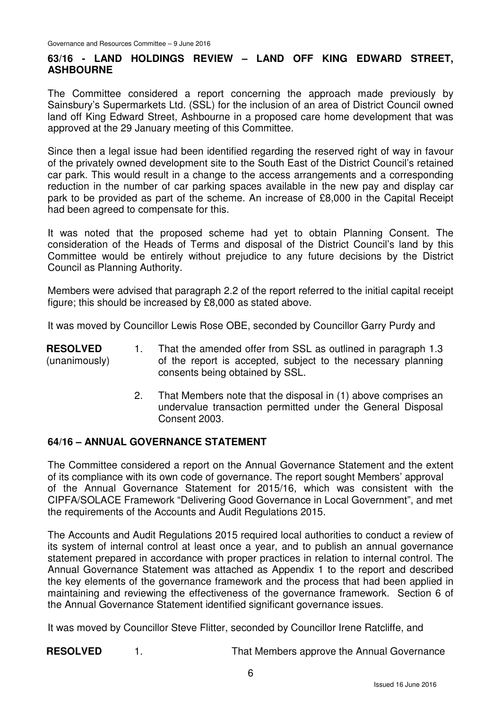# **63/16 - LAND HOLDINGS REVIEW – LAND OFF KING EDWARD STREET, ASHBOURNE**

The Committee considered a report concerning the approach made previously by Sainsbury's Supermarkets Ltd. (SSL) for the inclusion of an area of District Council owned land off King Edward Street, Ashbourne in a proposed care home development that was approved at the 29 January meeting of this Committee.

Since then a legal issue had been identified regarding the reserved right of way in favour of the privately owned development site to the South East of the District Council's retained car park. This would result in a change to the access arrangements and a corresponding reduction in the number of car parking spaces available in the new pay and display car park to be provided as part of the scheme. An increase of £8,000 in the Capital Receipt had been agreed to compensate for this.

It was noted that the proposed scheme had yet to obtain Planning Consent. The consideration of the Heads of Terms and disposal of the District Council's land by this Committee would be entirely without prejudice to any future decisions by the District Council as Planning Authority.

Members were advised that paragraph 2.2 of the report referred to the initial capital receipt figure; this should be increased by £8,000 as stated above.

It was moved by Councillor Lewis Rose OBE, seconded by Councillor Garry Purdy and

- **RESOLVED** (unanimously) 1. That the amended offer from SSL as outlined in paragraph 1.3 of the report is accepted, subject to the necessary planning consents being obtained by SSL.
	- 2. That Members note that the disposal in (1) above comprises an undervalue transaction permitted under the General Disposal Consent 2003.

## **64/16 – ANNUAL GOVERNANCE STATEMENT**

The Committee considered a report on the Annual Governance Statement and the extent of its compliance with its own code of governance. The report sought Members' approval of the Annual Governance Statement for 2015/16, which was consistent with the CIPFA/SOLACE Framework "Delivering Good Governance in Local Government", and met the requirements of the Accounts and Audit Regulations 2015.

The Accounts and Audit Regulations 2015 required local authorities to conduct a review of its system of internal control at least once a year, and to publish an annual governance statement prepared in accordance with proper practices in relation to internal control. The Annual Governance Statement was attached as Appendix 1 to the report and described the key elements of the governance framework and the process that had been applied in maintaining and reviewing the effectiveness of the governance framework. Section 6 of the Annual Governance Statement identified significant governance issues.

It was moved by Councillor Steve Flitter, seconded by Councillor Irene Ratcliffe, and

**RESOLVED** 1. That Members approve the Annual Governance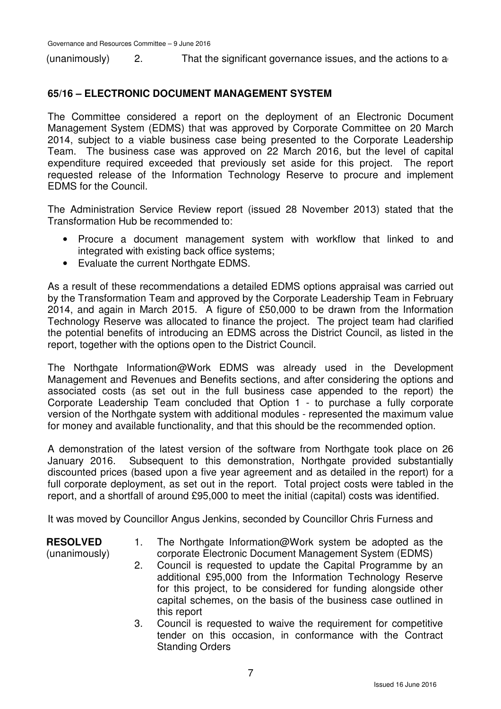$($ unanimously $)$  2. That the significant governance issues, and the actions to a

# **65/16 – ELECTRONIC DOCUMENT MANAGEMENT SYSTEM**

The Committee considered a report on the deployment of an Electronic Document Management System (EDMS) that was approved by Corporate Committee on 20 March 2014, subject to a viable business case being presented to the Corporate Leadership Team. The business case was approved on 22 March 2016, but the level of capital expenditure required exceeded that previously set aside for this project. The report requested release of the Information Technology Reserve to procure and implement EDMS for the Council.

The Administration Service Review report (issued 28 November 2013) stated that the Transformation Hub be recommended to:

- Procure a document management system with workflow that linked to and integrated with existing back office systems;
- Evaluate the current Northgate EDMS.

As a result of these recommendations a detailed EDMS options appraisal was carried out by the Transformation Team and approved by the Corporate Leadership Team in February 2014, and again in March 2015. A figure of £50,000 to be drawn from the Information Technology Reserve was allocated to finance the project. The project team had clarified the potential benefits of introducing an EDMS across the District Council, as listed in the report, together with the options open to the District Council.

The Northgate Information@Work EDMS was already used in the Development Management and Revenues and Benefits sections, and after considering the options and associated costs (as set out in the full business case appended to the report) the Corporate Leadership Team concluded that Option 1 - to purchase a fully corporate version of the Northgate system with additional modules - represented the maximum value for money and available functionality, and that this should be the recommended option.

A demonstration of the latest version of the software from Northgate took place on 26 January 2016. Subsequent to this demonstration, Northgate provided substantially discounted prices (based upon a five year agreement and as detailed in the report) for a full corporate deployment, as set out in the report. Total project costs were tabled in the report, and a shortfall of around £95,000 to meet the initial (capital) costs was identified.

It was moved by Councillor Angus Jenkins, seconded by Councillor Chris Furness and

**RESOLVED** (unanimously)

- 1. The Northgate Information@Work system be adopted as the corporate Electronic Document Management System (EDMS)
- 2. Council is requested to update the Capital Programme by an additional £95,000 from the Information Technology Reserve for this project, to be considered for funding alongside other capital schemes, on the basis of the business case outlined in this report
- 3. Council is requested to waive the requirement for competitive tender on this occasion, in conformance with the Contract Standing Orders